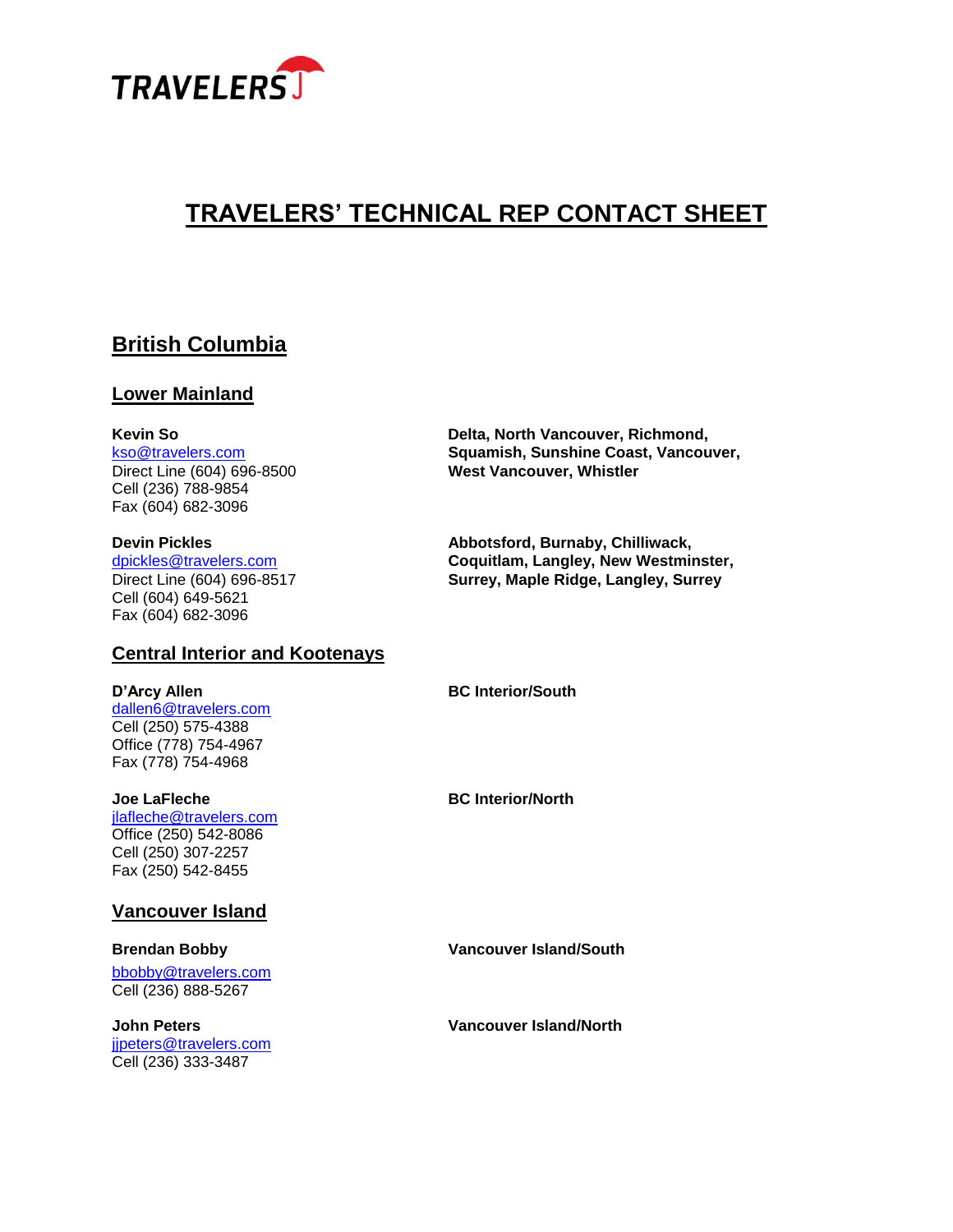

# **TRAVELERS' TECHNICAL REP CONTACT SHEET**

## **British Columbia**

#### **Lower Mainland**

Cell (236) 788-9854 Fax (604) 682-3096

Cell (604) 649-5621 Fax (604) 682-3096

#### **Central Interior and Kootenays**

[dallen6@travelers.com](mailto:dallen6@travelers.com) Cell (250) 575-4388 Office (778) 754-4967 Fax (778) 754-4968

[jlafleche@travelers.com](mailto:jlafleche@travelers.com) Office (250) 542-8086 Cell (250) 307-2257 Fax (250) 542-8455

### **Vancouver Island**

bbobby@travelers.com Cell (236) 888-5267

[jjpeters@travelers.com](mailto:jjpeters@travelers.com) Cell (236) 333-3487

**Kevin So Delta, North Vancouver, Richmond,** [kso@travelers.com](mailto:kso@travelers.com) **Squamish, Sunshine Coast, Vancouver, West Vancouver, Whistler** 

**Devin Pickles Abbotsford, Burnaby, Chilliwack,** dpickles@travelers.com **Coquitlam, Langley, New Westminster,** Direct Line (604) 696-8517 **Surrey, Maple Ridge, Langley, Surrey**

**D'Arcy Allen BC Interior/South**

**Joe LaFleche BC Interior/North** 

**Brendan Bobby Vancouver Island/South**

**John Peters Vancouver Island/North**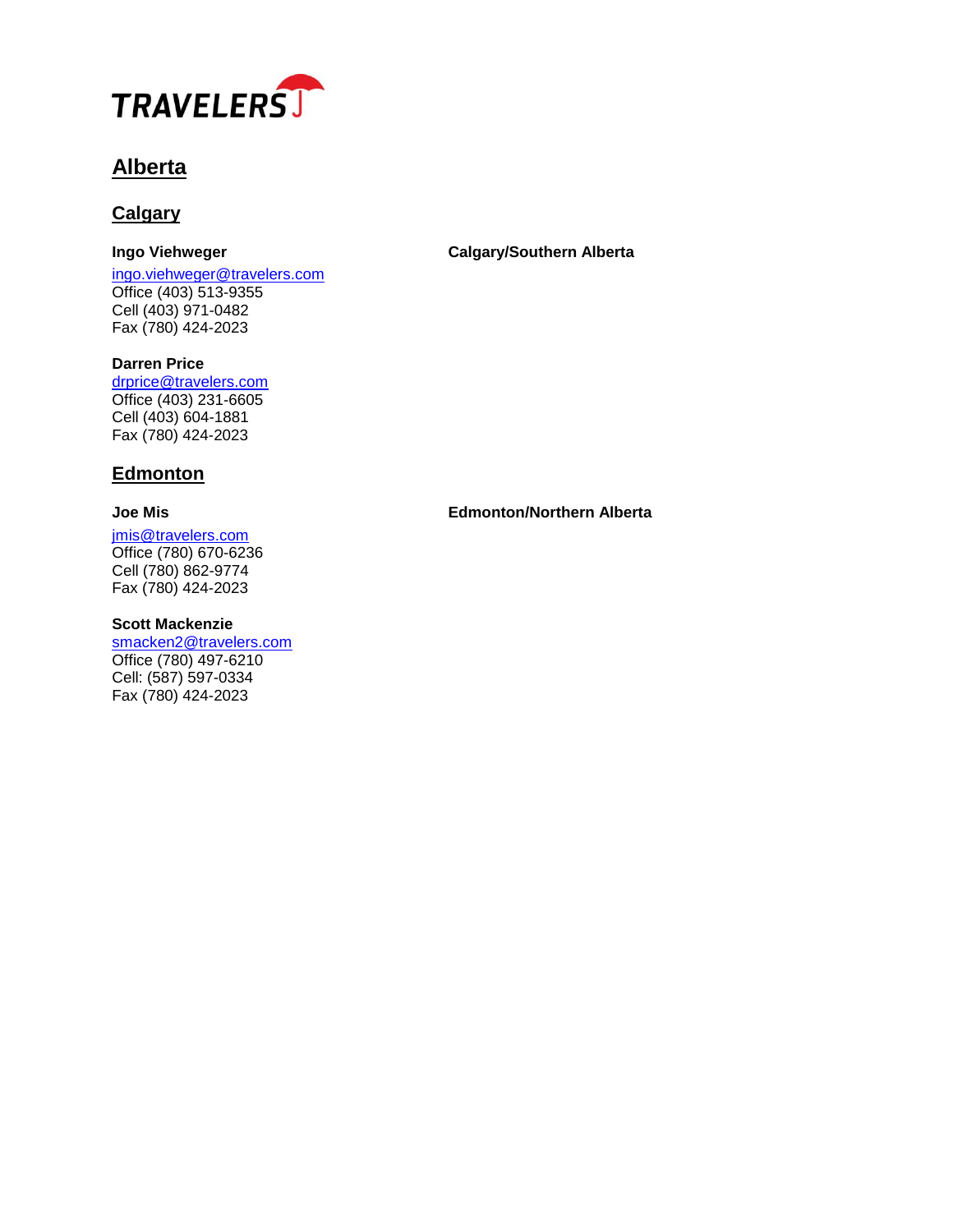

# **Alberta**

### **Calgary**

[ingo.viehweger@travelers.com](mailto:ingo.viehweger@travelers.com) Office (403) 513-9355 Cell (403) 971-0482 Fax (780) 424-2023

### **Ingo Viehweger Calgary/Southern Alberta**

**Darren Price** [drprice@travelers.com](mailto:drprice@travelers.com) Office (403) 231-6605 Cell (403) 604-1881 Fax (780) 424-2023

### **Edmonton**

jmis@travelers.com Office (780) 670-6236 Cell (780) 862-9774 Fax (780) 424-2023

#### **Scott Mackenzie**

[smacken2@travelers.com](mailto:smacken2@travelers.com) Office (780) 497-6210 Cell: (587) 597-0334 Fax (780) 424-2023

**Joe Mis Edmonton/Northern Alberta**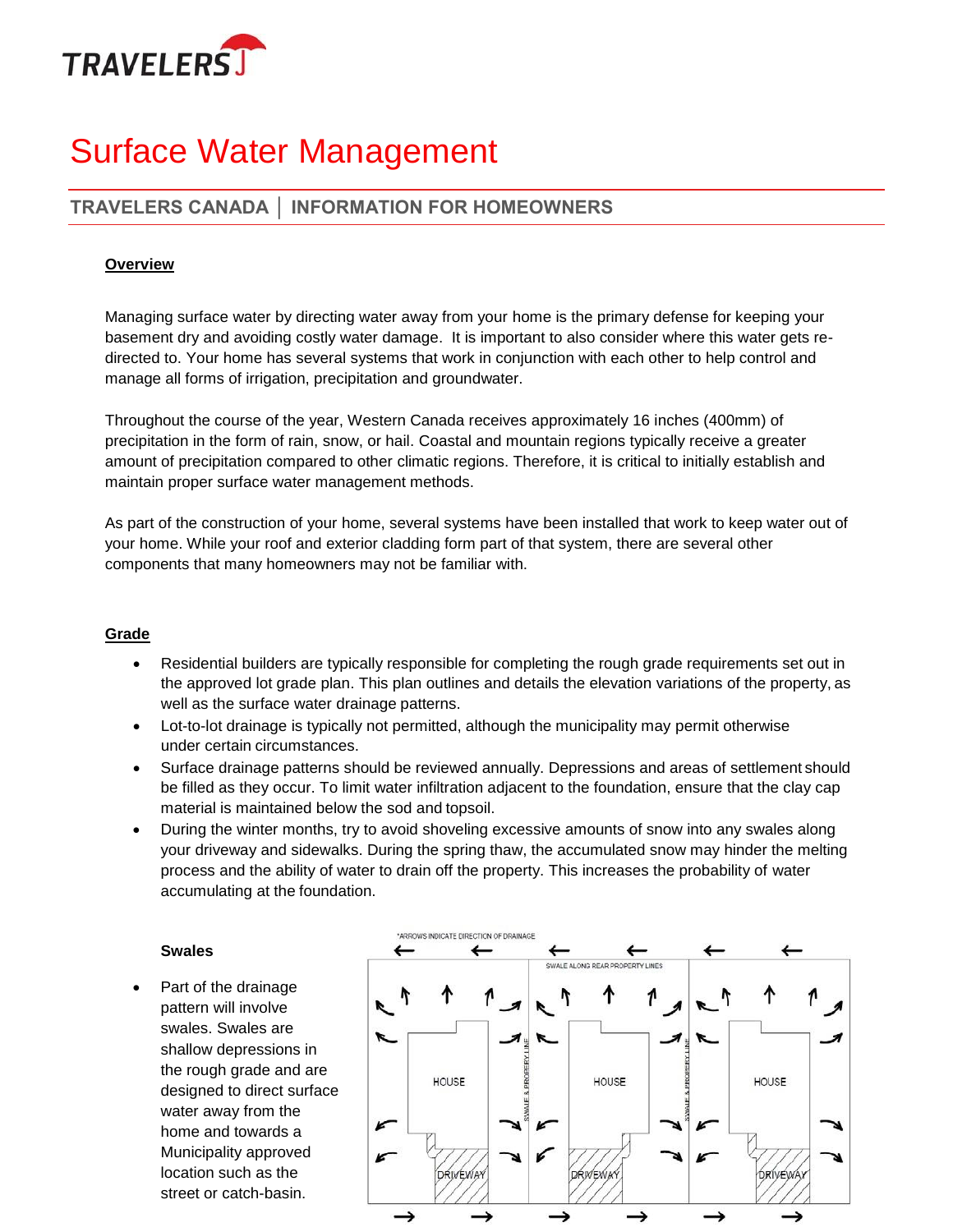

# Surface Water Management

## **TRAVELERS CANADA │ INFORMATION FOR HOMEOWNERS**

#### **Overview**

Managing surface water by directing water away from your home is the primary defense for keeping your basement dry and avoiding costly water damage. It is important to also consider where this water gets redirected to. Your home has several systems that work in conjunction with each other to help control and manage all forms of irrigation, precipitation and groundwater.

Throughout the course of the year, Western Canada receives approximately 16 inches (400mm) of precipitation in the form of rain, snow, or hail. Coastal and mountain regions typically receive a greater amount of precipitation compared to other climatic regions. Therefore, it is critical to initially establish and maintain proper surface water management methods.

As part of the construction of your home, several systems have been installed that work to keep water out of your home. While your roof and exterior cladding form part of that system, there are several other components that many homeowners may not be familiar with.

#### **Grade**

- Residential builders are typically responsible for completing the rough grade requirements set out in the approved lot grade plan. This plan outlines and details the elevation variations of the property, as well as the surface water drainage patterns.
- Lot-to-lot drainage is typically not permitted, although the municipality may permit otherwise under certain circumstances.
- Surface drainage patterns should be reviewed annually. Depressions and areas of settlement should be filled as they occur. To limit water infiltration adjacent to the foundation, ensure that the clay cap material is maintained below the sod and topsoil.
- During the winter months, try to avoid shoveling excessive amounts of snow into any swales along your driveway and sidewalks. During the spring thaw, the accumulated snow may hinder the melting process and the ability of water to drain off the property. This increases the probability of water accumulating at the foundation.

#### **Swales**

• Part of the drainage pattern will involve swales. Swales are shallow depressions in the rough grade and are designed to direct surface water away from the home and towards a Municipality approved location such as the street or catch-basin.

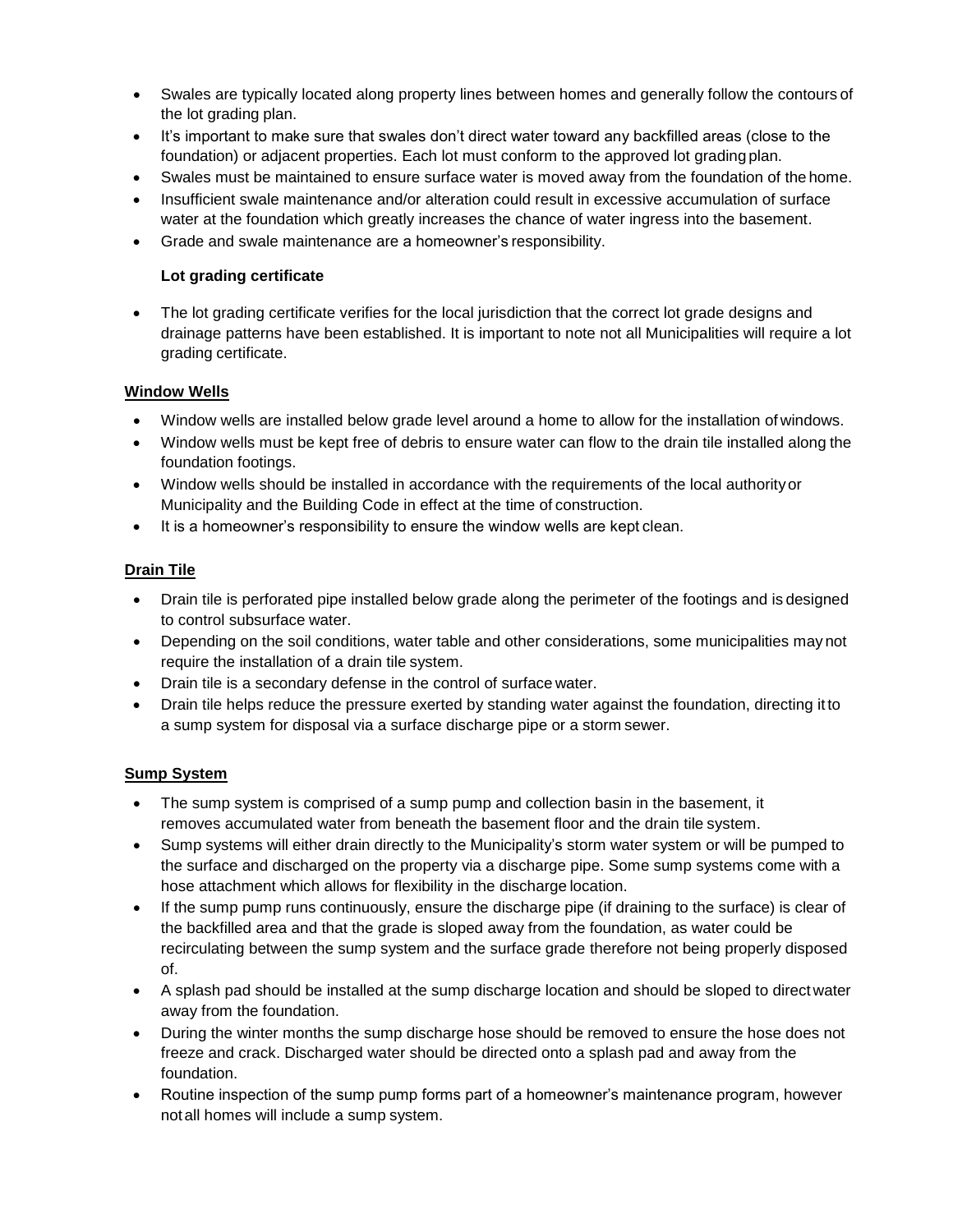- Swales are typically located along property lines between homes and generally follow the contours of the lot grading plan.
- It's important to make sure that swales don't direct water toward any backfilled areas (close to the foundation) or adjacent properties. Each lot must conform to the approved lot grading plan.
- Swales must be maintained to ensure surface water is moved away from the foundation of the home.
- Insufficient swale maintenance and/or alteration could result in excessive accumulation of surface water at the foundation which greatly increases the chance of water ingress into the basement.
- Grade and swale maintenance are a homeowner's responsibility.

#### **Lot grading certificate**

• The lot grading certificate verifies for the local jurisdiction that the correct lot grade designs and drainage patterns have been established. It is important to note not all Municipalities will require a lot grading certificate.

#### **Window Wells**

- Window wells are installed below grade level around a home to allow for the installation of windows.
- Window wells must be kept free of debris to ensure water can flow to the drain tile installed along the foundation footings.
- Window wells should be installed in accordance with the requirements of the local authorityor Municipality and the Building Code in effect at the time of construction.
- It is a homeowner's responsibility to ensure the window wells are kept clean.

#### **Drain Tile**

- Drain tile is perforated pipe installed below grade along the perimeter of the footings and is designed to control subsurface water.
- Depending on the soil conditions, water table and other considerations, some municipalities may not require the installation of a drain tile system.
- Drain tile is a secondary defense in the control of surface water.
- Drain tile helps reduce the pressure exerted by standing water against the foundation, directing it to a sump system for disposal via a surface discharge pipe or a storm sewer.

#### **Sump System**

- The sump system is comprised of a sump pump and collection basin in the basement, it removes accumulated water from beneath the basement floor and the drain tile system.
- Sump systems will either drain directly to the Municipality's storm water system or will be pumped to the surface and discharged on the property via a discharge pipe. Some sump systems come with a hose attachment which allows for flexibility in the discharge location.
- If the sump pump runs continuously, ensure the discharge pipe (if draining to the surface) is clear of the backfilled area and that the grade is sloped away from the foundation, as water could be recirculating between the sump system and the surface grade therefore not being properly disposed of.
- A splash pad should be installed at the sump discharge location and should be sloped to direct water away from the foundation.
- During the winter months the sump discharge hose should be removed to ensure the hose does not freeze and crack. Discharged water should be directed onto a splash pad and away from the foundation.
- Routine inspection of the sump pump forms part of a homeowner's maintenance program, however notall homes will include a sump system.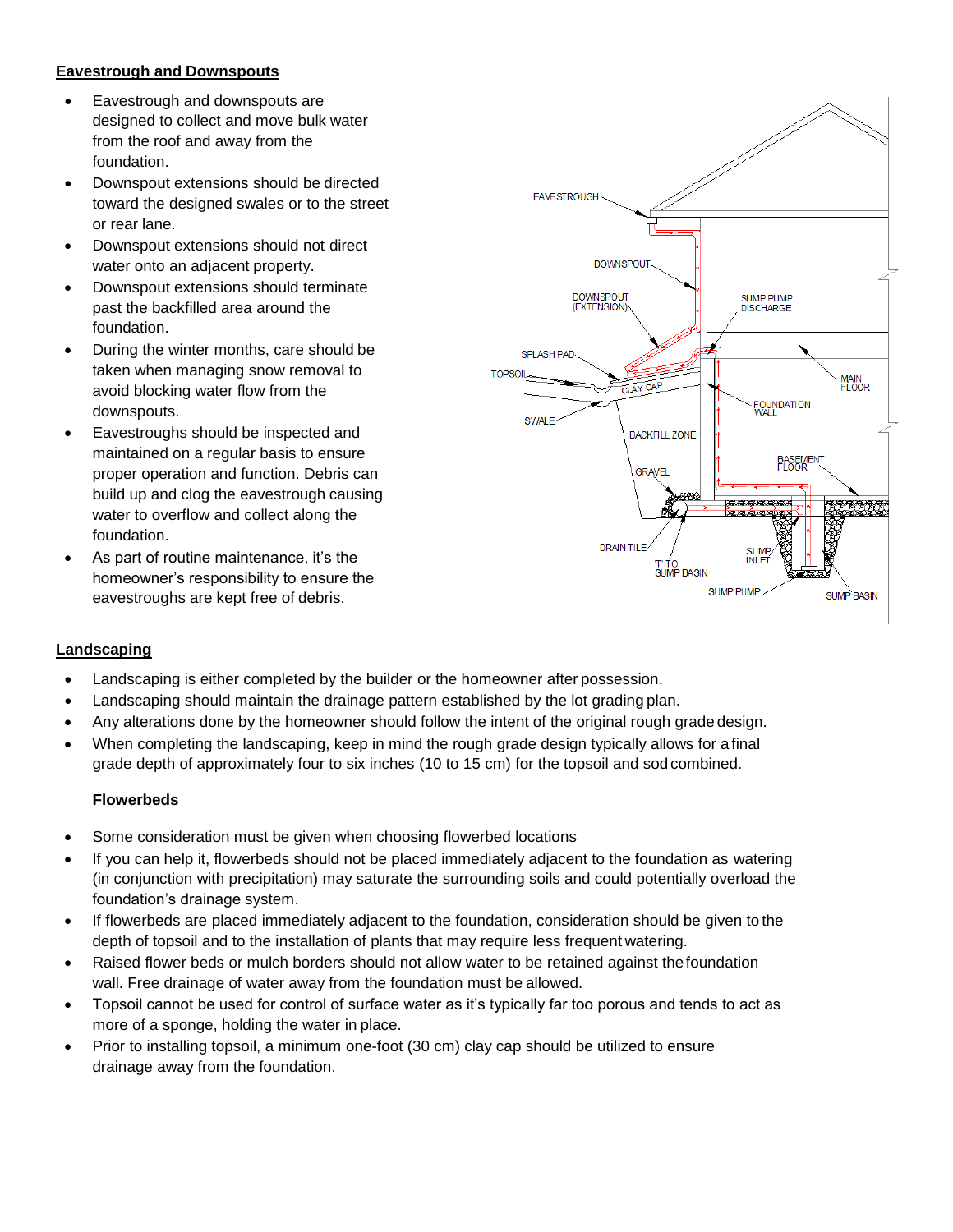#### **Eavestrough and Downspouts**

- Eavestrough and downspouts are designed to collect and move bulk water from the roof and away from the foundation.
- Downspout extensions should be directed toward the designed swales or to the street or rear lane.
- Downspout extensions should not direct water onto an adjacent property.
- Downspout extensions should terminate past the backfilled area around the foundation.
- During the winter months, care should be taken when managing snow removal to avoid blocking water flow from the downspouts.
- Eavestroughs should be inspected and maintained on a regular basis to ensure proper operation and function. Debris can build up and clog the eavestrough causing water to overflow and collect along the foundation.
- As part of routine maintenance, it's the homeowner's responsibility to ensure the eavestroughs are kept free of debris.



#### **Landscaping**

- Landscaping is either completed by the builder or the homeowner after possession.
- Landscaping should maintain the drainage pattern established by the lot grading plan.
- Any alterations done by the homeowner should follow the intent of the original rough grade design.
- When completing the landscaping, keep in mind the rough grade design typically allows for a final grade depth of approximately four to six inches (10 to 15 cm) for the topsoil and sodcombined.

#### **Flowerbeds**

- Some consideration must be given when choosing flowerbed locations
- If you can help it, flowerbeds should not be placed immediately adjacent to the foundation as watering (in conjunction with precipitation) may saturate the surrounding soils and could potentially overload the foundation's drainage system.
- If flowerbeds are placed immediately adjacent to the foundation, consideration should be given to the depth of topsoil and to the installation of plants that may require less frequent watering.
- Raised flower beds or mulch borders should not allow water to be retained against the foundation wall. Free drainage of water away from the foundation must be allowed.
- Topsoil cannot be used for control of surface water as it's typically far too porous and tends to act as more of a sponge, holding the water in place.
- Prior to installing topsoil, a minimum one-foot (30 cm) clay cap should be utilized to ensure drainage away from the foundation.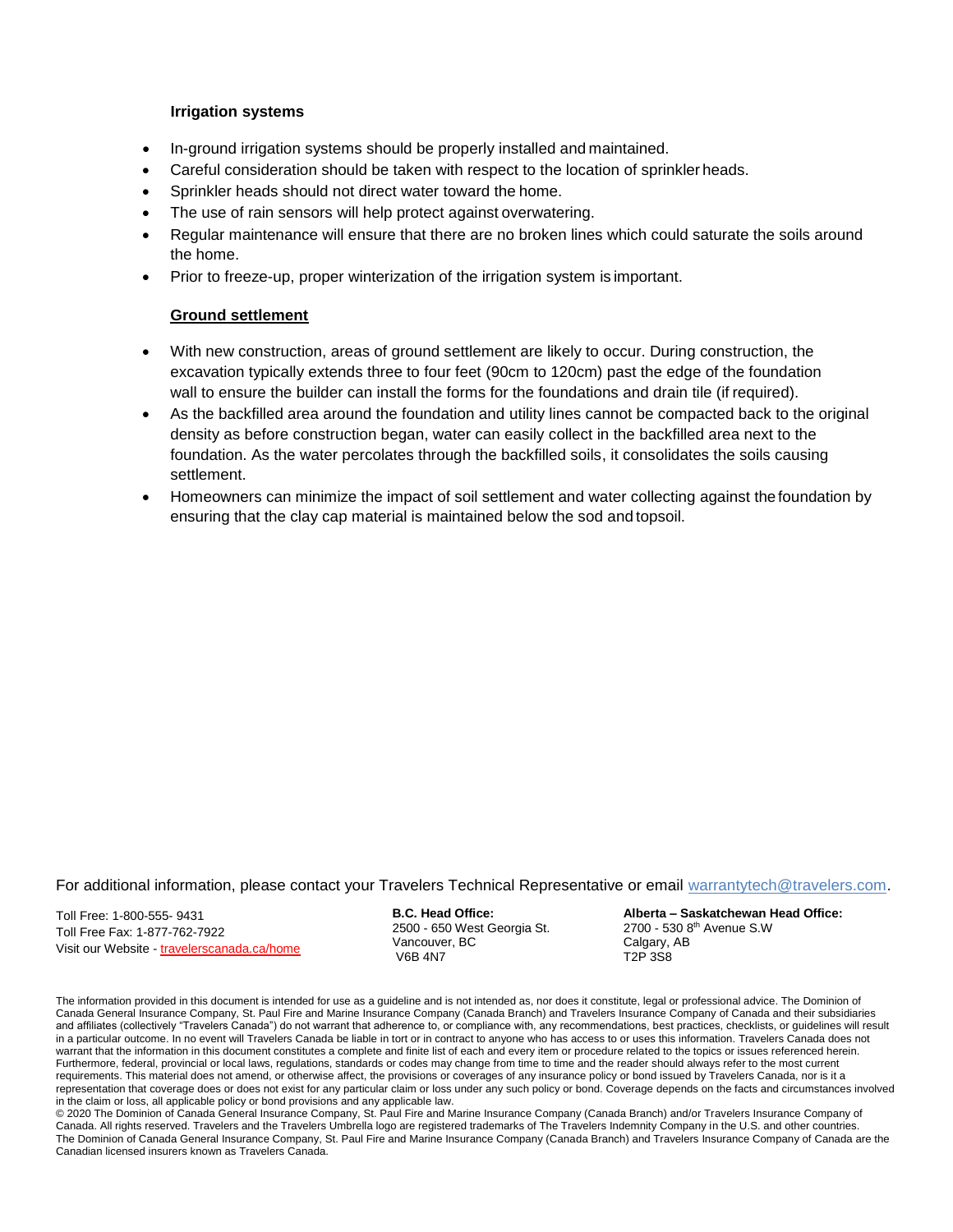#### **Irrigation systems**

- In-ground irrigation systems should be properly installed and maintained.
- Careful consideration should be taken with respect to the location of sprinkler heads.
- Sprinkler heads should not direct water toward the home.
- The use of rain sensors will help protect against overwatering.
- Regular maintenance will ensure that there are no broken lines which could saturate the soils around the home.
- Prior to freeze-up, proper winterization of the irrigation system is important.

#### **Ground settlement**

- With new construction, areas of ground settlement are likely to occur. During construction, the excavation typically extends three to four feet (90cm to 120cm) past the edge of the foundation wall to ensure the builder can install the forms for the foundations and drain tile (if required).
- As the backfilled area around the foundation and utility lines cannot be compacted back to the original density as before construction began, water can easily collect in the backfilled area next to the foundation. As the water percolates through the backfilled soils, it consolidates the soils causing settlement.
- Homeowners can minimize the impact of soil settlement and water collecting against thefoundation by ensuring that the clay cap material is maintained below the sod and topsoil.

#### For additional information, please contact your Travelers Technical Representative or email [warrantytech@travelers.com.](mailto:warrantytech@travelers.com)

Toll Free: 1-800-555- 9431 Toll Free Fax: 1-877-762-7922 Visit our Website - travelerscanada.ca/home **B.C. Head Office:** 2500 - 650 West Georgia St. Vancouver, BC V6B 4N7

**Alberta – Saskatchewan Head Office:** 2700 - 530 8th Avenue S.W Calgary, AB T2P 3S8

The information provided in this document is intended for use as a guideline and is not intended as, nor does it constitute, legal or professional advice. The Dominion of Canada General Insurance Company, St. Paul Fire and Marine Insurance Company (Canada Branch) and Travelers Insurance Company of Canada and their subsidiaries and affiliates (collectively "Travelers Canada") do not warrant that adherence to, or compliance with, any recommendations, best practices, checklists, or guidelines will result in a particular outcome. In no event will Travelers Canada be liable in tort or in contract to anyone who has access to or uses this information. Travelers Canada does not warrant that the information in this document constitutes a complete and finite list of each and every item or procedure related to the topics or issues referenced herein. Furthermore, federal, provincial or local laws, regulations, standards or codes may change from time to time and the reader should always refer to the most current requirements. This material does not amend, or otherwise affect, the provisions or coverages of any insurance policy or bond issued by Travelers Canada, nor is it a representation that coverage does or does not exist for any particular claim or loss under any such policy or bond. Coverage depends on the facts and circumstances involved in the claim or loss, all applicable policy or bond provisions and any applicable law.

© 2020 The Dominion of Canada General Insurance Company, St. Paul Fire and Marine Insurance Company (Canada Branch) and/or Travelers Insurance Company of Canada. All rights reserved. Travelers and the Travelers Umbrella logo are registered trademarks of The Travelers Indemnity Company in the U.S. and other countries. The Dominion of Canada General Insurance Company, St. Paul Fire and Marine Insurance Company (Canada Branch) and Travelers Insurance Company of Canada are the Canadian licensed insurers known as Travelers Canada.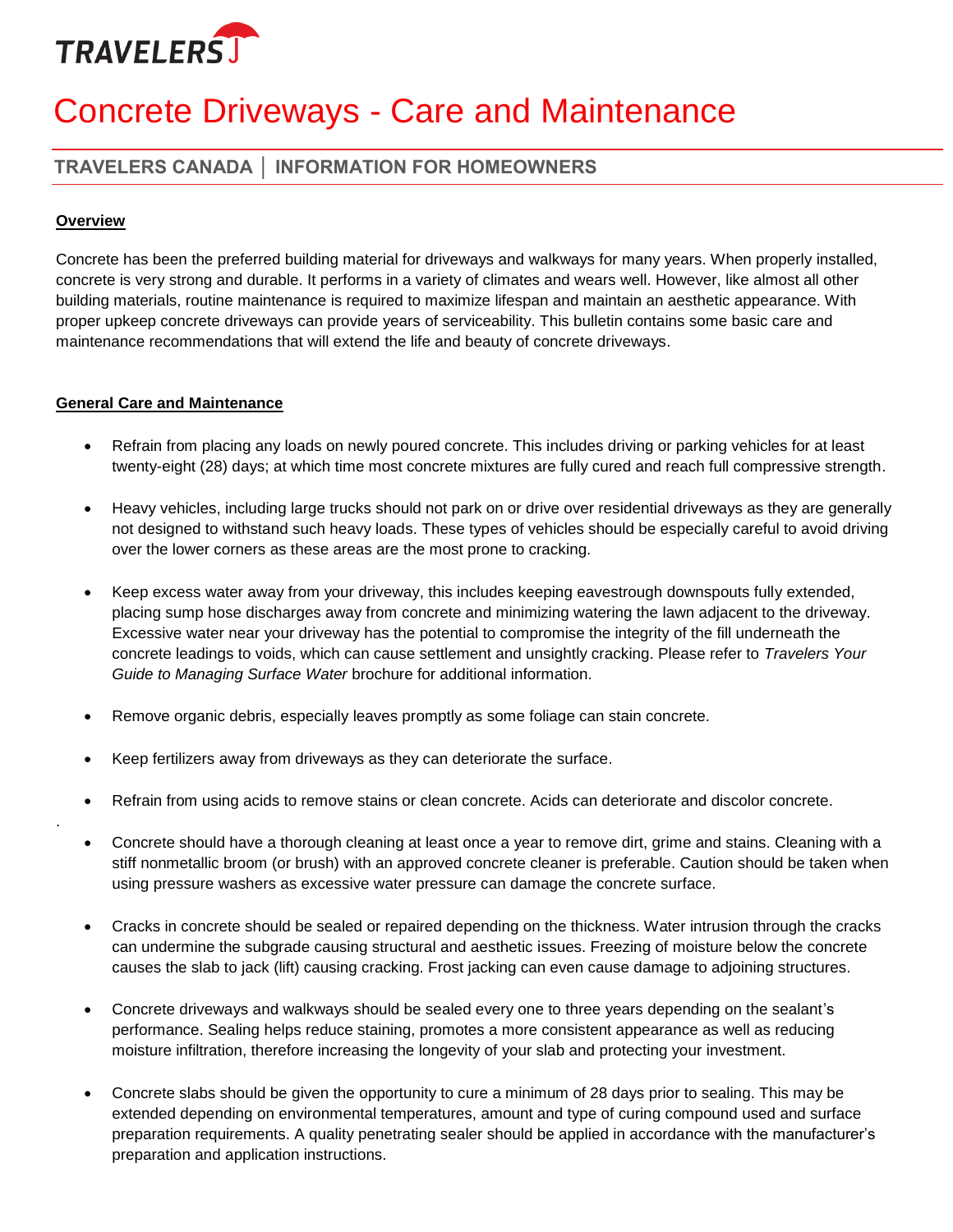

# Concrete Driveways - Care and Maintenance

### **TRAVELERS CANADA │ INFORMATION FOR HOMEOWNERS**

#### **Overview**

.

Concrete has been the preferred building material for driveways and walkways for many years. When properly installed, concrete is very strong and durable. It performs in a variety of climates and wears well. However, like almost all other building materials, routine maintenance is required to maximize lifespan and maintain an aesthetic appearance. With proper upkeep concrete driveways can provide years of serviceability. This bulletin contains some basic care and maintenance recommendations that will extend the life and beauty of concrete driveways.

#### **General Care and Maintenance**

- Refrain from placing any loads on newly poured concrete. This includes driving or parking vehicles for at least twenty-eight (28) days; at which time most concrete mixtures are fully cured and reach full compressive strength.
- Heavy vehicles, including large trucks should not park on or drive over residential driveways as they are generally not designed to withstand such heavy loads. These types of vehicles should be especially careful to avoid driving over the lower corners as these areas are the most prone to cracking.
- Keep excess water away from your driveway, this includes keeping eavestrough downspouts fully extended, placing sump hose discharges away from concrete and minimizing watering the lawn adjacent to the driveway. Excessive water near your driveway has the potential to compromise the integrity of the fill underneath the concrete leadings to voids, which can cause settlement and unsightly cracking. Please refer to *Travelers Your Guide to Managing Surface Water* brochure for additional information.
- Remove organic debris, especially leaves promptly as some foliage can stain concrete.
- Keep fertilizers away from driveways as they can deteriorate the surface.
- Refrain from using acids to remove stains or clean concrete. Acids can deteriorate and discolor concrete.
- Concrete should have a thorough cleaning at least once a year to remove dirt, grime and stains. Cleaning with a stiff nonmetallic broom (or brush) with an approved concrete cleaner is preferable. Caution should be taken when using pressure washers as excessive water pressure can damage the concrete surface.
- Cracks in concrete should be sealed or repaired depending on the thickness. Water intrusion through the cracks can undermine the subgrade causing structural and aesthetic issues. Freezing of moisture below the concrete causes the slab to jack (lift) causing cracking. Frost jacking can even cause damage to adjoining structures.
- Concrete driveways and walkways should be sealed every one to three years depending on the sealant's performance. Sealing helps reduce staining, promotes a more consistent appearance as well as reducing moisture infiltration, therefore increasing the longevity of your slab and protecting your investment.
- Concrete slabs should be given the opportunity to cure a minimum of 28 days prior to sealing. This may be extended depending on environmental temperatures, amount and type of curing compound used and surface preparation requirements. A quality penetrating sealer should be applied in accordance with the manufacturer's preparation and application instructions.